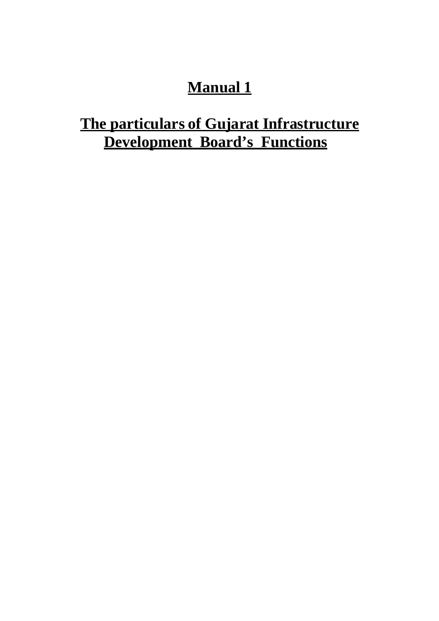## **Manual 1**

## **The particulars of Gujarat Infrastructure Development Board's Functions**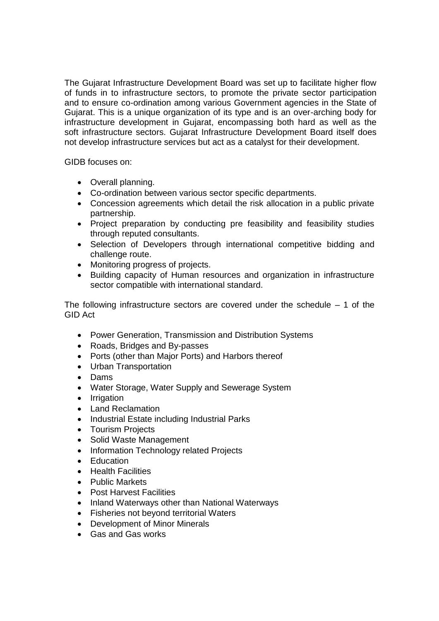The Gujarat Infrastructure Development Board was set up to facilitate higher flow of funds in to infrastructure sectors, to promote the private sector participation and to ensure co-ordination among various Government agencies in the State of Gujarat. This is a unique organization of its type and is an over-arching body for infrastructure development in Gujarat, encompassing both hard as well as the soft infrastructure sectors. Gujarat Infrastructure Development Board itself does not develop infrastructure services but act as a catalyst for their development.

GIDB focuses on:

- Overall planning.
- Co-ordination between various sector specific departments.
- Concession agreements which detail the risk allocation in a public private partnership.
- Project preparation by conducting pre feasibility and feasibility studies through reputed consultants.
- Selection of Developers through international competitive bidding and challenge route.
- Monitoring progress of projects.
- Building capacity of Human resources and organization in infrastructure sector compatible with international standard.

The following infrastructure sectors are covered under the schedule  $-1$  of the GID Act

- Power Generation, Transmission and Distribution Systems
- Roads, Bridges and By-passes
- Ports (other than Major Ports) and Harbors thereof
- Urban Transportation
- Dams
- Water Storage, Water Supply and Sewerage System
- Irrigation
- Land Reclamation
- Industrial Estate including Industrial Parks
- Tourism Projects
- Solid Waste Management
- Information Technology related Projects
- Education
- Health Facilities
- Public Markets
- Post Harvest Facilities
- Inland Waterways other than National Waterways
- Fisheries not beyond territorial Waters
- Development of Minor Minerals
- Gas and Gas works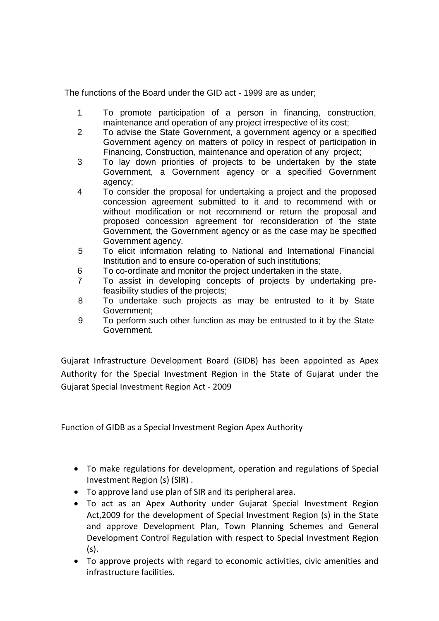The functions of the Board under the GID act - 1999 are as under;

- 1 To promote participation of a person in financing, construction, maintenance and operation of any project irrespective of its cost;
- 2 To advise the State Government, a government agency or a specified Government agency on matters of policy in respect of participation in Financing, Construction, maintenance and operation of any project;
- 3 To lay down priorities of projects to be undertaken by the state Government, a Government agency or a specified Government agency;
- 4 To consider the proposal for undertaking a project and the proposed concession agreement submitted to it and to recommend with or without modification or not recommend or return the proposal and proposed concession agreement for reconsideration of the state Government, the Government agency or as the case may be specified Government agency.
- 5 To elicit information relating to National and International Financial Institution and to ensure co-operation of such institutions;
- 6 To co-ordinate and monitor the project undertaken in the state.
- 7 To assist in developing concepts of projects by undertaking prefeasibility studies of the projects;
- 8 To undertake such projects as may be entrusted to it by State Government;
- 9 To perform such other function as may be entrusted to it by the State Government.

Gujarat Infrastructure Development Board (GIDB) has been appointed as Apex Authority for the Special Investment Region in the State of Gujarat under the Gujarat Special Investment Region Act ‐ 2009

Function of GIDB as a Special Investment Region Apex Authority

- To make regulations for development, operation and regulations of Special Investment Region (s) (SIR) .
- To approve land use plan of SIR and its peripheral area.
- To act as an Apex Authority under Gujarat Special Investment Region Act,2009 for the development of Special Investment Region (s) in the State and approve Development Plan, Town Planning Schemes and General Development Control Regulation with respect to Special Investment Region (s).
- To approve projects with regard to economic activities, civic amenities and infrastructure facilities.